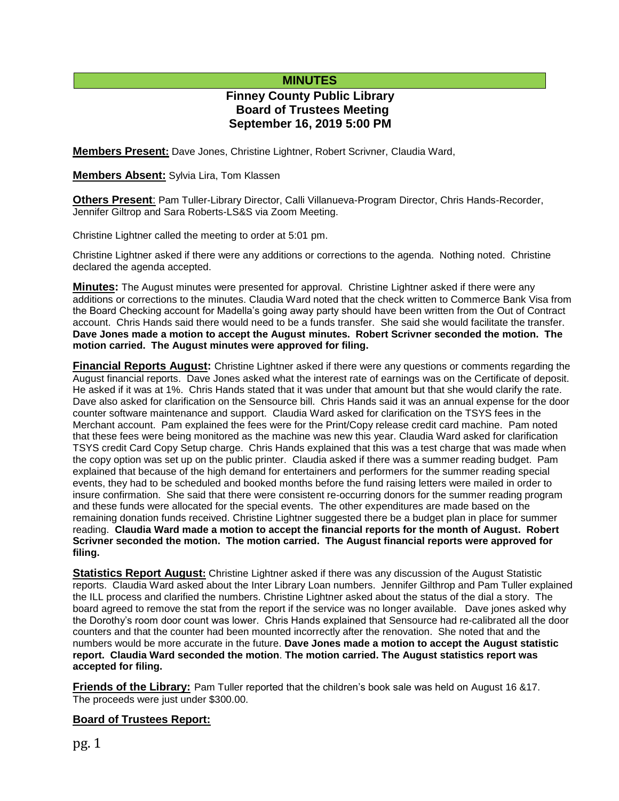# **MINUTES**

# **Finney County Public Library Board of Trustees Meeting September 16, 2019 5:00 PM**

**Members Present:** Dave Jones, Christine Lightner, Robert Scrivner, Claudia Ward,

**Members Absent:** Sylvia Lira, Tom Klassen

**Others Present**: Pam Tuller-Library Director, Calli Villanueva-Program Director, Chris Hands-Recorder, Jennifer Giltrop and Sara Roberts-LS&S via Zoom Meeting.

Christine Lightner called the meeting to order at 5:01 pm.

Christine Lightner asked if there were any additions or corrections to the agenda. Nothing noted. Christine declared the agenda accepted.

**Minutes:** The August minutes were presented for approval. Christine Lightner asked if there were any additions or corrections to the minutes. Claudia Ward noted that the check written to Commerce Bank Visa from the Board Checking account for Madella's going away party should have been written from the Out of Contract account. Chris Hands said there would need to be a funds transfer. She said she would facilitate the transfer. **Dave Jones made a motion to accept the August minutes. Robert Scrivner seconded the motion. The motion carried. The August minutes were approved for filing.** 

**Financial Reports August:** Christine Lightner asked if there were any questions or comments regarding the August financial reports. Dave Jones asked what the interest rate of earnings was on the Certificate of deposit. He asked if it was at 1%. Chris Hands stated that it was under that amount but that she would clarify the rate. Dave also asked for clarification on the Sensource bill. Chris Hands said it was an annual expense for the door counter software maintenance and support. Claudia Ward asked for clarification on the TSYS fees in the Merchant account. Pam explained the fees were for the Print/Copy release credit card machine. Pam noted that these fees were being monitored as the machine was new this year. Claudia Ward asked for clarification TSYS credit Card Copy Setup charge. Chris Hands explained that this was a test charge that was made when the copy option was set up on the public printer. Claudia asked if there was a summer reading budget. Pam explained that because of the high demand for entertainers and performers for the summer reading special events, they had to be scheduled and booked months before the fund raising letters were mailed in order to insure confirmation. She said that there were consistent re-occurring donors for the summer reading program and these funds were allocated for the special events. The other expenditures are made based on the remaining donation funds received. Christine Lightner suggested there be a budget plan in place for summer reading. **Claudia Ward made a motion to accept the financial reports for the month of August. Robert Scrivner seconded the motion. The motion carried. The August financial reports were approved for filing.**

**Statistics Report August:** Christine Lightner asked if there was any discussion of the August Statistic reports. Claudia Ward asked about the Inter Library Loan numbers. Jennifer Gilthrop and Pam Tuller explained the ILL process and clarified the numbers. Christine Lightner asked about the status of the dial a story. The board agreed to remove the stat from the report if the service was no longer available. Dave jones asked why the Dorothy's room door count was lower. Chris Hands explained that Sensource had re-calibrated all the door counters and that the counter had been mounted incorrectly after the renovation. She noted that and the numbers would be more accurate in the future. **Dave Jones made a motion to accept the August statistic report. Claudia Ward seconded the motion**. **The motion carried. The August statistics report was accepted for filing.**

**Friends of the Library:** Pam Tuller reported that the children's book sale was held on August 16 &17. The proceeds were just under \$300.00.

## **Board of Trustees Report:**